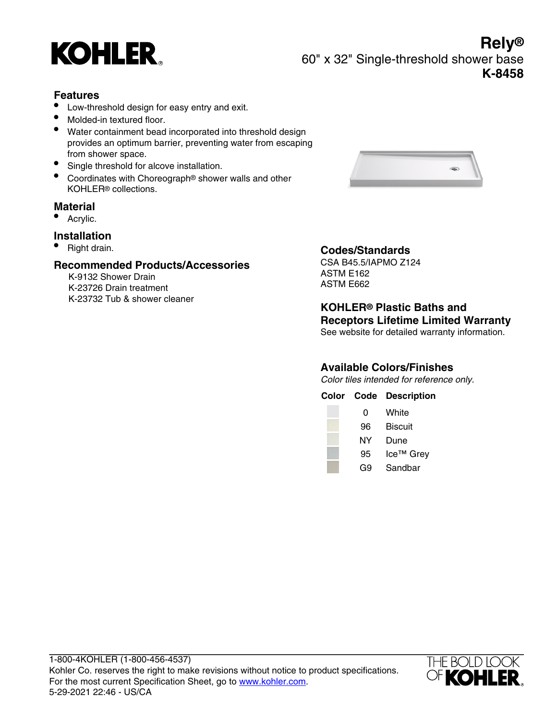

**Rely®** 60" x 32" Single-threshold shower base **K-8458**

### **Features**

- Low-threshold design for easy entry and exit.
- Molded-in textured floor.
- Water containment bead incorporated into threshold design provides an optimum barrier, preventing water from escaping from shower space.
- Single threshold for alcove installation.
- **•** Coordinates with Choreograph® shower walls and other KOHLER® collections.

## **Material**

• Acrylic.

#### **Installation**

• Right drain.

#### **Recommended Products/Accessories**

K-9132 Shower Drain K-23726 Drain treatment K-23732 Tub & shower cleaner



# **Codes/Standards**

CSA B45.5/IAPMO Z124 ASTM E162 ASTM E662

**KOHLER® Plastic Baths and Receptors Lifetime Limited Warranty** See website for detailed warranty information.

# **Available Colors/Finishes**

Color tiles intended for reference only.

| Color Code | <b>Description</b>    |
|------------|-----------------------|
| 0          | White                 |
| 96         | <b>Biscuit</b>        |
| NY         | Dune                  |
| 95         | Ice <sup>™</sup> Grey |
| G9         | Sandbar               |